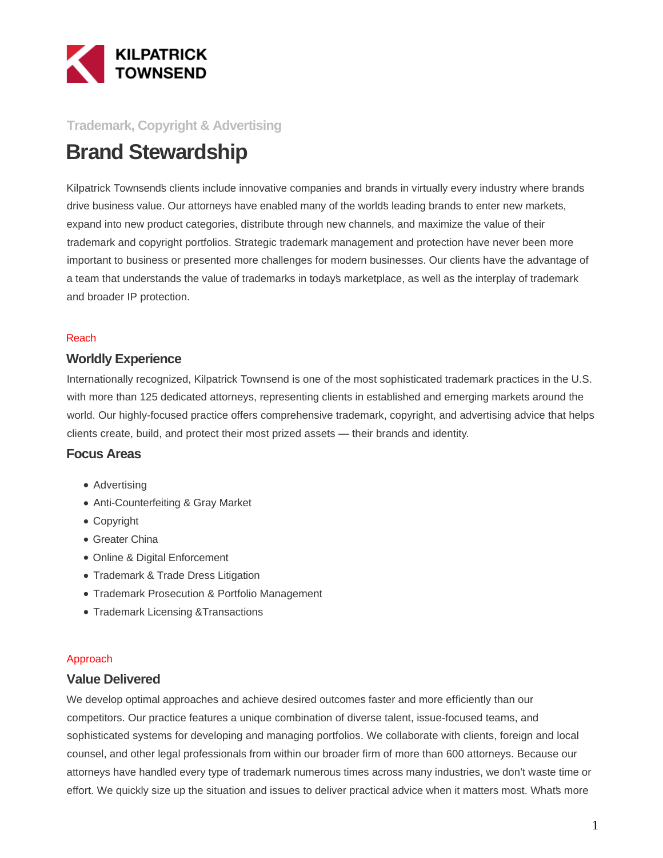

### **Trademark, Copyright & Advertising**

# **Brand Stewardship**

Kilpatrick Townsend's clients include innovative companies and brands in virtually every industry where brands drive business value. Our attorneys have enabled many of the world's leading brands to enter new markets, expand into new product categories, distribute through new channels, and maximize the value of their trademark and copyright portfolios. Strategic trademark management and protection have never been more important to business or presented more challenges for modern businesses. Our clients have the advantage of a team that understands the value of trademarks in today's marketplace, as well as the interplay of trademark and broader IP protection.

#### Reach

#### **Worldly Experience**

Internationally recognized, Kilpatrick Townsend is one of the most sophisticated trademark practices in the U.S. with more than 125 dedicated attorneys, representing clients in established and emerging markets around the world. Our highly-focused practice offers comprehensive trademark, copyright, and advertising advice that helps clients create, build, and protect their most prized assets — their brands and identity.

#### **Focus Areas**

- Advertising
- Anti-Counterfeiting & Gray Market
- Copyright
- Greater China
- Online & Digital Enforcement
- Trademark & Trade Dress Litigation
- Trademark Prosecution & Portfolio Management
- Trademark Licensing & Transactions

#### Approach

#### **Value Delivered**

We develop optimal approaches and achieve desired outcomes faster and more efficiently than our competitors. Our practice features a unique combination of diverse talent, issue-focused teams, and sophisticated systems for developing and managing portfolios. We collaborate with clients, foreign and local counsel, and other legal professionals from within our broader firm of more than 600 attorneys. Because our attorneys have handled every type of trademark numerous times across many industries, we don't waste time or effort. We quickly size up the situation and issues to deliver practical advice when it matters most. What's more